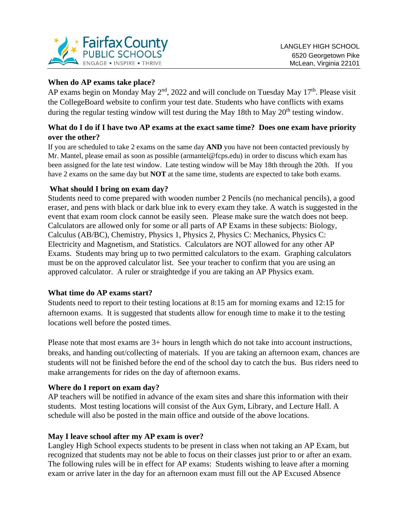

# **When do AP exams take place?**

AP exams begin on Monday May  $2<sup>nd</sup>$ , 2022 and will conclude on Tuesday May  $17<sup>th</sup>$ . Please visit the CollegeBoard website to confirm your test date. Students who have conflicts with exams during the regular testing window will test during the May 18th to May 20<sup>th</sup> testing window.

## **What do I do if I have two AP exams at the exact same time? Does one exam have priority over the other?**

If you are scheduled to take 2 exams on the same day **AND** you have not been contacted previously by Mr. Mantel, please email as soon as possible (armantel@fcps.edu) in order to discuss which exam has been assigned for the late test window. Late testing window will be May 18th through the 20th. If you have 2 exams on the same day but **NOT** at the same time, students are expected to take both exams.

## **What should I bring on exam day?**

Students need to come prepared with wooden number 2 Pencils (no mechanical pencils), a good eraser, and pens with black or dark blue ink to every exam they take. A watch is suggested in the event that exam room clock cannot be easily seen. Please make sure the watch does not beep. Calculators are allowed only for some or all parts of AP Exams in these subjects: Biology, Calculus (AB/BC), Chemistry, Physics 1, Physics 2, Physics C: Mechanics, Physics C: Electricity and Magnetism, and Statistics. Calculators are NOT allowed for any other AP Exams. Students may bring up to two permitted calculators to the exam. Graphing calculators must be on the approved calculator list. See your teacher to confirm that you are using an approved calculator. A ruler or straightedge if you are taking an AP Physics exam.

## **What time do AP exams start?**

Students need to report to their testing locations at 8:15 am for morning exams and 12:15 for afternoon exams. It is suggested that students allow for enough time to make it to the testing locations well before the posted times.

Please note that most exams are 3+ hours in length which do not take into account instructions, breaks, and handing out/collecting of materials. If you are taking an afternoon exam, chances are students will not be finished before the end of the school day to catch the bus. Bus riders need to make arrangements for rides on the day of afternoon exams.

## **Where do I report on exam day?**

AP teachers will be notified in advance of the exam sites and share this information with their students. Most testing locations will consist of the Aux Gym, Library, and Lecture Hall. A schedule will also be posted in the main office and outside of the above locations.

## **May I leave school after my AP exam is over?**

Langley High School expects students to be present in class when not taking an AP Exam, but recognized that students may not be able to focus on their classes just prior to or after an exam. The following rules will be in effect for AP exams: Students wishing to leave after a morning exam or arrive later in the day for an afternoon exam must fill out the AP Excused Absence